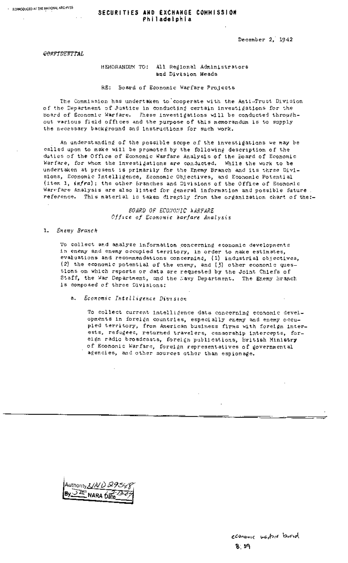....... % .....

### **SECURITIES AND EXCHAHGE COMMISSION Philadelphia**

December 2, 1942

CONFIDENTIAL

### MEMORANDUM TO: All Regional Administrators and Division Heads

RE: Board of Economic Warfare Projects

The Commission has undertaken to/cooperate with the Anti-Trust Division of the Department of Justice in conducting certain investigations for the Board of Economic Warfare. These investigations will be conducted throughout various field offices and the purpose of this memorandum is to supply the necessary background and instructions for such work.

An understanding of the possible scope of the investigations we may be called upon to make will be promoted by the following description of the duties of the Office of Economic Warfare Analysis of the Board of Economic Warfare, for whom the investigations are conducted. While the work to be undertaken at present is primarily for the Enemy Branch and its three Divisions, Economic Intelligence, Economic Objectives, and Economic Potential (item I, infra); the other 5ranches and Divisions of the Office of Economic Warefare Analysis are also listed for general information and possible future. reference. This material is taken directly from the organization chart of the:-

> BOARD OF ECONONIC **\*ARFARE** *Office of Economic ~arfare Analysis*

*i. Enemy Branch* 

To collect and analyze information concerning economic developments in enemy and enemy occupied territory, in order to make estimates, evaluations and recommendations concerning, (i) industrial objectives, (2) the economic potential of the enemy, and  $(3)$  other economic questions on which reports or data are requested by the Joint Chiefs of Staff, the War Department, and the Navy Department. The Enemy Branch is composed of three Divisions:

a. *Economic Intelligence Division* 

To collect current intelligence data concerning economic developments in foreign countries, especially enemy and enemy occupied territory, from American business firms with foreign interests, refugees, returned travelers, censorship intercepts, foreign radio broadcasts, foreign publications, British Ministry of Economic Warfare, foreign representatives of governmental agencies, and other sources other than espionage.

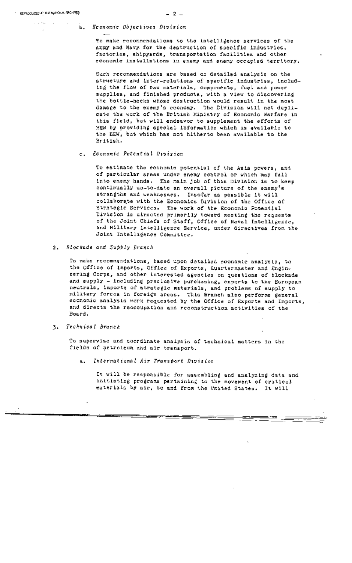$\mathbb{Z}^2$  . Then

#### b. *Economic Objectives Division*

To make recommendations to the intelligence services of the AImy and Navy for the destruction of specific industries, factories, shipyards, transportation facilities and other economic installations in enemy and enemy occupied territory.

Such recommendations are based on detailed analysis on the structure and inter-relations of specific industries, includins the flow of raw materials, components, fuel and power supplies, and finished products, with a view to discovering the bottle-necks whose destruction would result in the most damage to the enemy's economy. The Division will not duplicate the work of the British Ministry of Economic Warfare in this field, but will endeavor to supplement the efforts of MEW by providing special information which is available to the BEN, but which has not hitherto been available to the British.

#### *c, Economic Potential Division*

To estimate the economic potential of the Axis powers, and of particular areas under enemy control or which may fall into enemy hands. The main job of this Division is to keep continually up-to-date an overall picture of the enemy's strengths and weaknesses. Insofar as possible it will collaborate with the Economics Division of the Office of Strategic Services. The work of the Economic Potential Division is directed primarily toward meeting the requests of the Joint Chiefs of Staff, Office of Naval Intelligence, and Milltary Intelligence Service, under directives from the Joint Intelligence Committee.

*2. Blockade and Supply Branch* 

To make recommendations, based upon detailed economic analysis, to the Office of Imports, Office of Exports, Quartermaster and Engineering Corps, and other interested agencies on questions of blockade and supply - including preclusive purchasing, exports to the European neutrals, imports of strategic materials, and problems of supply to military forces in foreign areas. This Branch also performs general economic analysis work requested by the Office of Exports and Imports, and directs the reoccupation and reconstruction activities of the Board.

*3. Technical Branch* 

To supervise and coordinate analysis of technical matters in the fields of petroleum and air transport.

*a. International Air Transport Division* 

It will be responsible for assembling and analyzing data and initiating programs pertaining to the movement of critical materials by air, to and from the United States. It will

<del>. 2007 - 2007 - 200</del>

r

<u> – 2012 – </u>

**- 2-**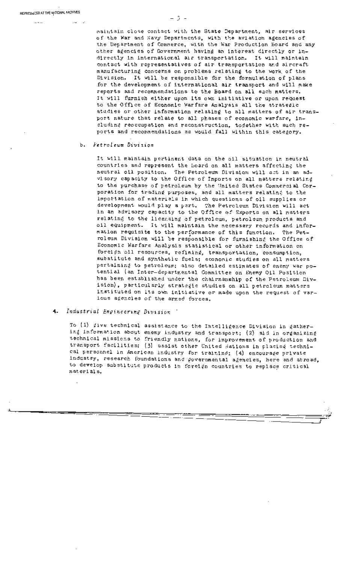$\sim$   $\sim$   $\sim$ 

maintain close contact with the State Department, air services of the War and Navy Departments, with the aviation agencies of the Department of Commerce, with the War Production Board and any other agencies of Government having an interest directly or indirectly in international air transportation. It will maintain contact with representatives of air transportation and aircraft manufacturing concerns on problems relating to the work of the Division. It will be responsible for the formulation of plans for the development of international air transport and will make reports and recommendations to the Board on all such matters. It will furnish either upon its own initiative Or upon request to the Office of Economic Warfare Analysis all the strategic studies or other information relating to all matters of air transport nature that relate to all phases of economic warfare, including reoccupation and reconstruction, together with such reports and recommendations as would fall within this category.

-3-

#### *b. Petroleum Division*

It will maintain pertinent data on the oil situation in neutral countries and represent the Board on all matters affecting the neutral oil position. The Petroleum Division will act in an advisory capacity to the Office of Imports on all matters relating to the purchase of petroleum by the United States Commercial Corporation for trading purposes, and all matters relating to the importation of materials in which questions of oil supplies or development would play a part. The Petroleum Division will act in an advisory capacity to the Office of Exports on all matters relating to the licensing of petroleum, petroleum products and oil equipment. It will maintain the necessary records and information requisite to the performance of this function. The Petroleum Division will be responsible for furnishing the Office of Economic Warfare Analysis statistical or other information on foreign oil resources, refining, transportation, consumption, substitute and synthetic fuels; economic studies on all matters pertaining to petroleum; also detailed estimates of enemy war potential (an Inter-departmental Committee on Enemy Oil Position has been established under the chairmanship of the Petroleum Division), particularly strategic studies on all petroleum matters instituted on its own initiative or made upon the request of various agencies of the armed forces.

#### *4. Industrial Engineering Division ~*

To (1) give technical assistance to the Intelligence Division in gather-ing information about enemy industry and transport; (2) aid in organizing technical missions to friendly nations, for improvement of production and transport facilities; (3) assist other United , ations in placing technical personnel in American industry for training; (4) encourage private industry, research foundations and povernmental agencies, here and abroad, to develop substitute products in foreign countries to replace critical m at eri al s.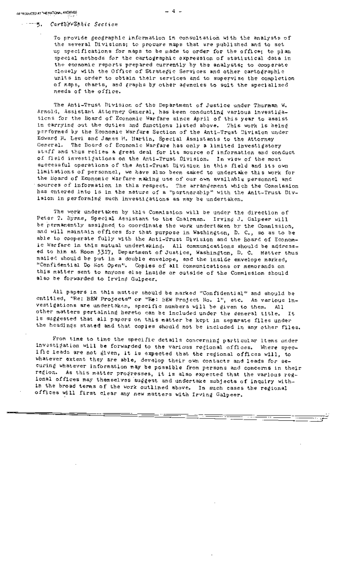#### ........ ~5"; *Cart%"E'÷"~'~lTic Section*

To provide geographic information in consultation with the analysts of the several Divisions; to procure maps that are published and to set up specifications for maps to be made to order for the office; to plan special methods for the carto@raphlc expression of statistical data in the economic reports prepared currently by the analysts; to cooperate closely with the Office of Strategic Services and other cartographic units in order to obtain their services and to supervise the completion of maps, charts, and graphs by other agencles to suit the specialized needs of the office.

The Anti-Trust Division of the Department of Justice under Thurman W. Arnold, Assistant Attorney General, has been conducting various investigations for the Board of Economic Warfare since April of this year to assist in carrying out the duties and functions listed above. This work is being performed by the Economic Warfare Section of the Anti-Trust Division under Edward H. Levi and James M. Martin, Special Assistants to the Attorney General. The Board of Economic Warfare has only a limited investigatory st~ff and thus relies a great deal for its source of information and conduct of field investigations on the Anti-Trust Division, In view of the most successful operations of the Anti-Trust Division in this field and its own limitations of personnel, we have also been asked to undertake this work for the Board of Economic Warfare making use of our own available personnel and sources of information in this respect. The arrangement which the Commission has entered into is in the nature of a "partnership" with the Anlt-Trust Division in performing such investigations as may be undertaken.

The work undertaken by this Commission will be under the direction of Peter T. Byrne, Special Assistant to the Chairman. Irving J. Galpeer will be permanently assigned to coordinate the work undertaken by the Commission, and will maintain offices for that purpose in Washington, D. C., so as to be able to cooperate fully with the Anti-Trust Division and the Board of Economic Warfare in this mutual undertaking. All communications should be addressed to him at Room 3317, Department of Justice, Washington, D. C. Matter thus mailed should be put in a double envelope, and the inside envelope marked, "Confidential Do Not Open". Copies of all communlcations or memoranda on this matter sent to anyone else inside or outside of the Commission should also be forwarded to Irving Galpeer.

All papers in this matter should be marked "Confidential" and should be entitled, "Re: BEW Projects" or "Re: BEW Project No. l", etc. As various investigatlons are undertaken, specific numbers will be given to them. All other matters pertaining hereto can be included under the deneral title. is suggested that all papers on this matter be kept in separate files under the headings stated and that copies should not be included in any other files.

From time to time the specific details concernin@ particular items under investigation will be forwarded to the various regional offices. Where specific leads are not given, it is expected that the regional offices will, to whatever extent they are able, develop their own contacts and leads for securing whatever information may be possible from persons and concerns in their region. As this matter progresses, it is also expected that the various regional offices may themselves suggest and undertake subjects of inquiry within the broad terms of the *work* outlined above. In such cases the regional offices will first clear any new matters with Irving Galpeer.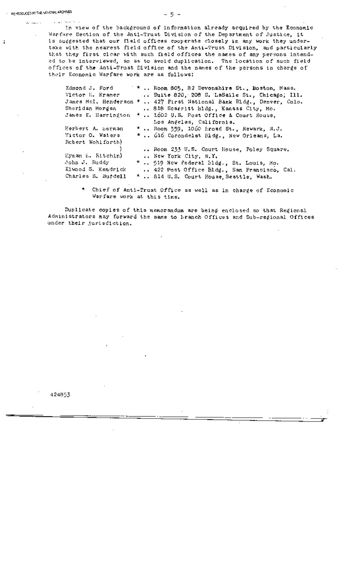المستوفيات

ł

and the state

In view of the background of information already acquired by the Economic Warfare Section of the Anti-Trust Division of the Department of Justice, it is suggested that our field offices cooperate closely in any work they undertake with the nearest field office of the Anti-Trust Division, and particularly that they first clear with such field offices the names of any persons intended to be interviewed, so as to avoid duplication. The location of such field offices of the Anti-Trust Division and the names of the persons in charge of their Economic Warfare work are as follows:

| Zdmond J. Ford      | * *  Room 805, 82 Devonshire St., Boston, Mass.                      |
|---------------------|----------------------------------------------------------------------|
| Victor E. Kramer    | Suite 820, 208 S. LaSalle St., Chicago, Ill.                         |
|                     | James McI. Henderson *  427 First Wational Bank Bldg., Denver, Colo. |
| Sheridan Morgen     | 818 Scarritt Bldg., Kansas City, Mo.                                 |
| James E. Harrington | *  1602 U.S. Post Office & Court House,                              |
|                     | Los Angeles, California.                                             |
| Herbert A. herman   | *  Boom 559, 1060 Eroad St., Newark, N.J.                            |
| Victor O. Waters    | *  616 Corondelet Eldg., New Orleans, La.                            |
| Rebert Wohlforth)   |                                                                      |
|                     | Room 233 U.S. Court House, Poley Square.                             |
| Eyman E. Eltebin)   | New York City, N.Y.                                                  |
| John J. Ruddy       | *  519 New Federal Bldg., St. Louis, Mo.                             |
| Elwood S. Kendrick  | 422 Post Office Bldg., San Francisco, Cal.                           |
| Charles S. Burdell  | *  814 U.S. Court House Seattle, Wash.                               |

Chief of Anti-Trust Office as well as in charge of Economic Warfare work at this time.

Duplicate copies of this memorandum are being enclosed so that Regional Administrators may forward the same to Branch Offices and Sub-regional Offices under their jurisdiction.

424853

**1**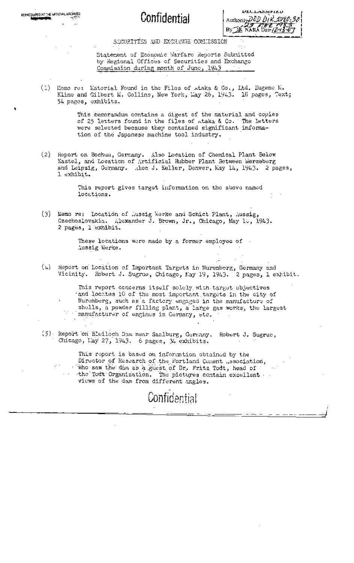REPRODUCED AT THE MATIONAL ARCHIVES

**UEULASSIFIED** Authority DOD Dr R 50 By JE NARA Date /Z-1

### SECURITIES AND EXCHANGE COMMISSION

Statement of Economic Marfare Reports Submitted by Regional Offices of Securities and Exchange Commission during month of June, 1943

(1) Momo re: Material Found in the Files of Ataka & Co., Ltd. Eugene M. Kline and Gilbert M. Collins, New York, May 26, 1943. 16 pages, Text; 54 pages, exhibits.

> This memorandum contains a digest of the material and copies of 25 letters found in the files of wtaka & Co. The letters were selected because they contained significant information of the Japanese machine tool industry.

(2) Heport on Bochum, Germany. Also Location of Chemical Plant Below Kastel, and Location of Artificial Rubber Plant Between Merseberg and Leipzig, Germany. . Acc J. Keller, Denver, May 14, 1943. 2 pages, l exhibit.

> This report gives target information on the above named locations.

(3) Memo re: Location of Aussig Werke and Schict Plant, Aussig, Czechoslovakia. Alexander J. Brown, Jr., Chicago, May 10, 1943. 2 pages, 1 exhibit.

> These locations were made by a former employee of -Aussig Werke.

(4) Report on Location of Important Targets in Nuremberg, Germany and Vicinity. Robert J. Sugrue, Chicago, May 19, 1943. 2 pages, 1 exhibit.

This report concerns itself solely with target objectives and locates 10 of the most important targets in the city of Nuremberg, such as a factory engaged in the manufacture of shells, a powder filling plant, a large gas works, the largest manufacturer of engines in Germany, etc.

(5) Report on Bleiloch Dom near Saalburg, Germany. Robert J. Sugrue, Chicago, Lay 27, 1943. 6 pages, 34 exhibits.

This report is based on information obtained by the Director of Research of the Portland Cement Association, who saw the dam as a guest of Dr. Fritz Todt, head of the Todt Organization. The pictures contain excellent. views of the dam from different angles.

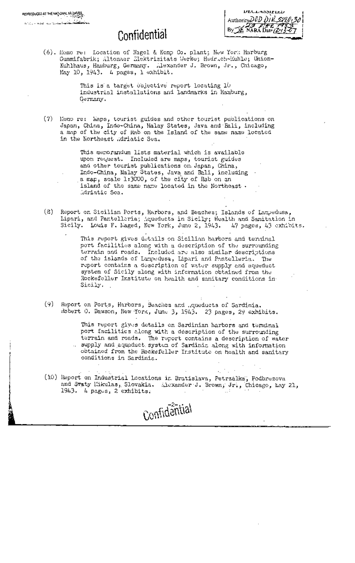| Declassified                                 |
|----------------------------------------------|
| Authority DOD DIR 5220-30                    |
|                                              |
| By $\n  2.33\n  1.47\n  1.47\n  2.13\n  2.7$ |
|                                              |

(6). Memo re: Location of Nagel & Kemp Co. plant; New York Harburg Gummifabrik; Altonaer Elektrizitats Werke; Hedrich-Kuhle; Union-Kuhlhaus, Hamburg, Germany. Alexander J. Brown, Jr., Chicago, May 10, 1943. *4* pages, 1 exhibit.

> This is a target 0bjective report locating io industrial installations and landmarks in Hamburg, Germany.

(7) Memo re: Waps, tourist guides and other tourist publications on Japan, China, Indo-China, Malay States, Java and Bali, including a map of the city of Rab on the Island of the same name located in the Northeast Adriatic Sea.

> This memorandum lists material which is available upon request. Included are maps, tourist guides and other tourist publications on. Japan, China, • Indo-China, Malay States, Java and Bali, including a map, scale 1:3000, of the city of Rab on an island of the same name located in the Northeast • Adriatic Sea.

(8) Report on Sicilian Ports, Harbors, and Beaches; Islands of Lampedusa, Lipari, and Pantelleria~ Aqueducts in Sicily; Health and Sanitation in Sicily. Louis F. baged, New York, June 2, 1943. &47 pages, 43 exhibits.

> This report gives details on Sicilian harbors and terminal port facilities along with a description of the surrounding terrain and roads. Included are also similar descriptions of the islands of Lampedusa, Lipari and Pantelleria. The report contains a description of water supply and aqueduct system of Sicily along with information obtained from the Rockefeller Institute on health and sanitary conditions in-Sicily.

(9) Report on Ports, Harbors, Beaches and Aqueducts of Sardinia. mbert O. Dawson, New York, June 3, 1943. 23 pages, 29 exhibits.

> This report gives details on Sardinian harbors and terminal port facilities along with a description of the surrounding terrain and roads. The report contains a description of water .. supply and aqueduct system of Sardinia along with information obtained from the Rockefeller Institute on health and sanitary conditions in Sardinia.

 $\mathcal{A}_1$  ,  $\mathcal{A}_2$  ,  $\mathcal{A}_3$ (10) Report on Industrial Locations in Bratislava, Petrzalka, Podbrezova and Svaty likulas, Slovakia. Alexander J. Brown; Jr., Chicago, Lay 21, 1943. A pages, 2 exhibits.  $\blacksquare$ 

Confidantial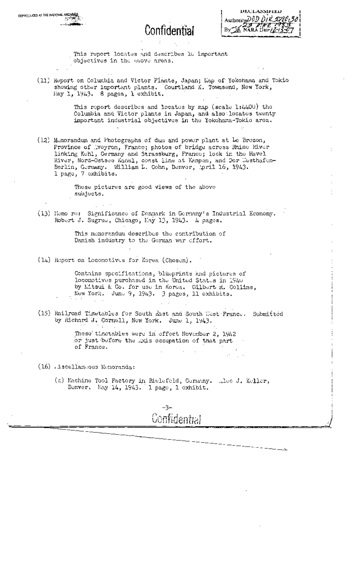DECLASSIFIED Authority DOD DIR 2720  $By$   $\mathbb{Z}$  NARA Date  $\mathbb{Z}$ ,,

This report locates and describes 10 important objectives in the above areas.

(11) Report on Columbia and Victor Plants, Japan; Map of Yokohama and Tokio showing other important plants. Courtland K. Townsend, New York, Hay 1, 1943. 8 pages, 1 exhibit.

> This report describes and locates by map (scale  $1:4400$ ) the Columbia and Victor plants in Japan, and also, locates twenty important industrial objectives in the Yokohama-Tokio area.

 $(12)$  Memorandum and Photographs of dam and power plant at Le Brezon, Province of Aveyron, France; photos of bridge across Rhine River linking Kehl, Germany and Strassburg, France; lock in the Havel River, Nord-Ostsce Kanal, coast line at Kampen, and Der Westhafen-Berlin, Germany. William L. Cohn, Denver, April 16, 1943. I page, 7 exhibits.

> These pictures are good views of the above subjects.

(13) Homo re: Significance of Denmark in Germany's Industrial Economy. Robert J. Sugrue, Chicago, May 13, 1943. 4 pages.

> This memorandum describes the contribution of Danish industry to the German war effort.

(14) Report on Locomotives for Korea (Chosen).

Contains specifications, blueprints and pictures of locolaotivus purchased in tho United States in 1940 by Litsui & Co. for use in Korea. Gilbert R. Collins, New York. Juno 9, 1943. 3 pages, ii exhibits.

"t .~ [ ,, .

.: .[',

(15) Railroad Timetables for South *hast* and South West :Francy. Submitted by Richard J. Cornell, New York. June 1, 1943.

> These timetables were in effect November 2, 1942 or just before the .DGs occupation of that part of France.

- (16) riscellancous Momoranda:
	- (a) Machine Tool Factory in Bielefeld, Gormany. ,,lec J. Keller, Denver. May 14, 1943. 1 page, 1 exhibit.

**-3-**  Confidential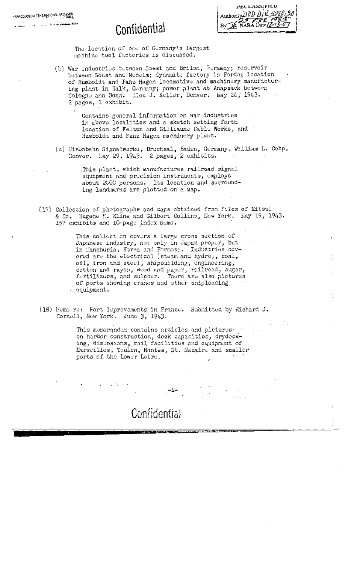| <b>UECLANDIFIED</b>                     |
|-----------------------------------------|
| Authority DOD DIR 2220 30               |
|                                         |
| $By\rightarrow B$ NARA Dave $(2-13-67)$ |
|                                         |

The location of one of Germany's largest machine tool factories is discussed.

(b) War industries between Soest and Brilon, Gormany; reservoir between Soest and Neheim; dynamite factory in Forde; location of Humboldt and Fanz Hagen locomotive and machinery manufacturing plant in Xalk, Gormany; power plant at Knapsack between Cologne and Bonn. Alec J. Keller, Denver. May 24, 1943. 2 pages, 1 exhibit.

> Contains general information on war industries in above localities and a sketch setting forth location of Felton and Gilliaune Cable Works, and Humboldt and Fanz Hagen machinery plant.

(c) Eisenbahn Signalwerke, Bruchsal, Baden, Germany. William L. Cohn, Denver. llay 29, 1943. 2 pages, 2 ezhibits.

> This plant, which manufactures railroad signal equipment and precision instruments, employs about 2000 persons. Its location and surrounding landmarks are plotted on a map.

(17) Collection of photographs and maps obtained from files of Mitsui & Co. Eugene F.. Kline and Gilbert Collins, New York. May 19, 1943. 157 exhibits and 10-page index memo.

> This collect on covers a large cross section of Japanese industry, not only in Japan proper, but in Eanchuria, Korea and Formosa. • Industries covered are the ~lectrical (steam and hydro), coal, oil, iron and steel, shipbuilding, engineering, cotton and rayon, wood and paper, railroad, sugar, fertilizers, and sulphur. There are also pictures of ports showing crancs and other shiploading equipment.

(18) Memo re: Port Improvements in France. Submitted by Richard J. Cornell, New York. June 3, 1943.

**. ,, , :" 1J4--'** 

Confidential

This memorandum contains articles and pictures and on harbor construction, dock capacities, drydocking, dimensions, rail facilities and equipment of Marseilles, Toulon, Mantes, St. Nazaire and smaller ports of the Lower Loire.  $\cdot$   $\cdot$ 

'"i , : "•

iv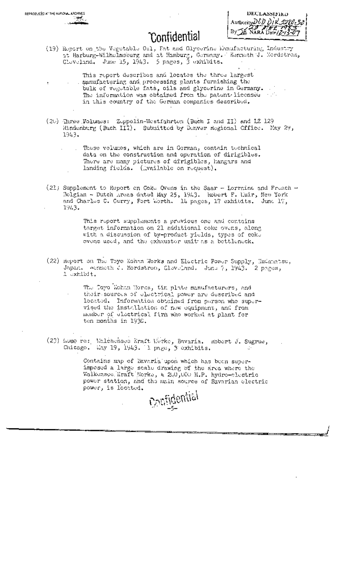(19) Report on the Vegetable Oil, Fat and Glycerine khanfacturing Industry neprio on para la primera en jeune manger en manger en manger en jeune en jeune en jeune en jeune de la primer<br>Cloveland, June 15, 1943. 5 pages, 3 exhibits.

This report describes and locates the three largest manufacturing and processing plants furnishing the bulk of vegetable fats, oils and glycerine in Germany. The information was obtained from the patent licenses with in this country of the German companies described.

(20) Three Wolumes: Zeppelin-Westfahrten (Buch I and II) and L2 129 Hindenburg (Buch III). Submitted by Denver Regional Cffice. May 29, 1943.



These volumes, which are in Gorman, contain technical data on the construction and operation of dirigibles. There are many pictures of dirigibles, hangars and landing fields. (Wailable on request).

(21) Supplement to Report on Coke Ovens in the Saar - Lorrains and French - Relgian - Dutch Areas dated May 25, 1943. Report F. Luir, New York and Charles C. Curry, Fort Worth. 14 pages, 17 exhibits. June 17, 1943.

> This report supplements a previous one and centains target information on 21 additional coke overs, along with a discussion of by-product yields, types of coke ovens used, and the exhauster unit as a bettleneck,

(22) Report on The Toyo Kohan Works and Electric Power Supply, Kudamatsu, Japan. Aenneth J. Mordstrom, Cleveland. June 7, 1943. 2 pages, 1 Jxhibit.

> The Coyo Wohan Horss, tim plate manufacturers, and their sources of electrical power are described and located. Information obtained from person who supervised the installation of new equipment, and from member of electrical firm who worked at plant for ten months in 1936.

(23) Lemo re: Walchensee Kraft Werke, Bavaria, mobert J. Sugrue, Chicago. Way 19, 1943. I page, 3 exhibits.

Contains map of Eaveria upon which has been superimposed a large scale drawing of the area where the Walkensee Kraft Nerke, a 200,000 H.P. hydro-clectric power station, and the main source of Bavarian electric power, is located.

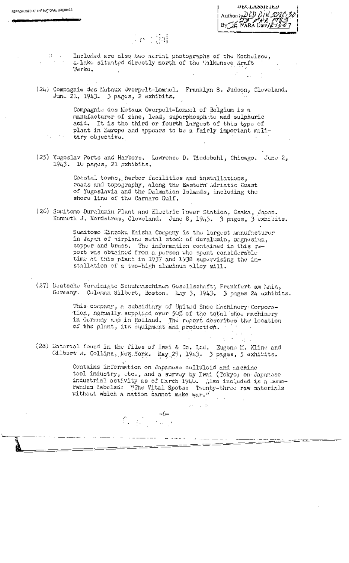| UECLASSIFIED              |  |
|---------------------------|--|
| Authorisy DCD DIR 5226 30 |  |
|                           |  |
|                           |  |

### (1888) 24

REPRODUCED AT THE NATIONAL ARCHIVES

Included are also two aerial photographs of the Kochelsee, a lake situated directly north of the Walkensee Kraft Werke.

(24) Compagnie des Matqux Overpelt-Lommel. Franklyn S. Judson, Cleveland. June 21, 1943. 3 pagos, 2 exhibits.

> Compagnie des Metaux Overpelt-Lommel of Belgium is a manufacturer of zinc, lead, superphosphete and sulphuric acid. It is the third or fourth largest of this type of plant in Europe and appears to be a fairly important military objective.

(25) Yugoslav Ports and Harbors. Lawrence D. Piedebohl, Chicago. June 2, 1943. 10 pages, 21 exhibits.

> Coastal towns, harbor facilities and installations, roads and topography, along the Eastern Adriatic Coast of Yugoslavia and the Dalmation Islands, including the shore line of the Carnaro Gulf.

(26) Sunitomo Duralumin Plant and Electric Tower Station, Osaka, Japan, Kenneth J. Nordstrem, Cleveland. June 8, 1943. 3 pages, 3 exhibits.

> Sumitomo Kinzoku Kaisha Company is the largest manufacturer<br>in Japan of hirplane metal stock of duralumin, magnesium, copper and brass. The information contained in this report was obtained from a person who spent considerable time at this plant in 1937 and 1938 supervising the installation of a two-high aluminum alley mill.

(27) Deutsche Vereinigte Schuhmschinen Gesellschaft, Frankfurt am Main, Gormany. Coleman Silbert, Boston. Ray 3, 1943. 3 pages 24 exhibits.

> This company, a subsidiary of United Shoe Eachinery Corporation, normally supplied over 50% of the total shoe machinery in Germany and in Holland. The report describes the lecation in Germany and in mornance. The expected of the plant, its equipment and production.

 $\alpha = 1.2$  .

(28) Material found in the files of Iwai & Co. Ltd. Eugene M. Kline and Gilbert R. Collins, New York. May 29, 1943. 3 pages, 5 exhibits.

 $\label{eq:2} \tilde{U}_{\alpha}=\left(\begin{matrix} 1\\ 1\\ 0\\ 0\\ 0 \end{matrix}\right)=\frac{-6+}{16-1}$ 

المستعدد وبالمستحدث والمستنقص المستشف والمتحدث

Contains information on Japanese colluloid and anchine tool industry, ste., and a survey by Iwai (Tokyo) on Japanese industrial activity as of March 1940. Also included is a memorandum labeled: "The Vital Spots: Twenty-three raw materials without which a nation cannot make war."